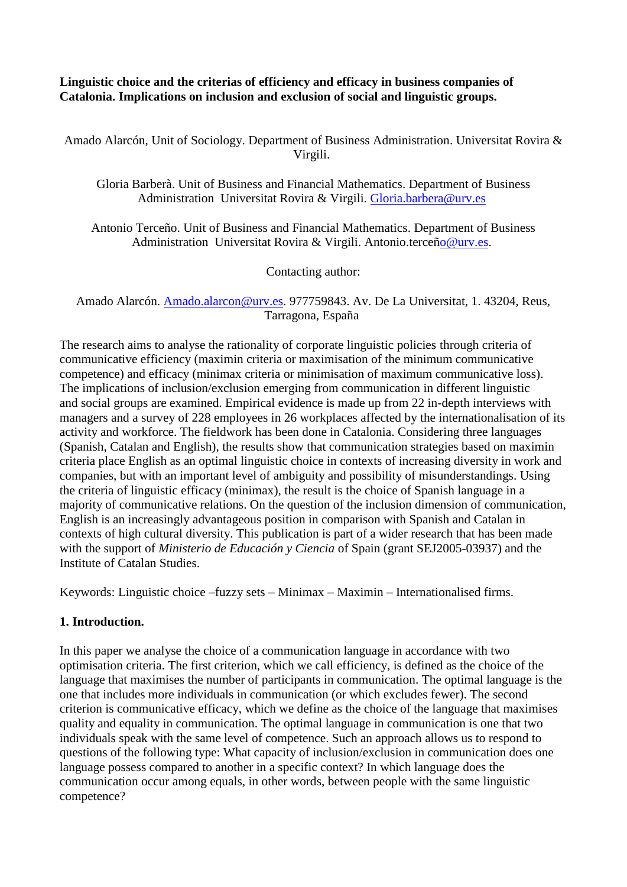## **Linguistic choice and the criterias of efficiency and efficacy in business companies of Catalonia. Implications on inclusion and exclusion of social and linguistic groups.**

Amado Alarcón, Unit of Sociology. Department of Business Administration. Universitat Rovira & Virgili.

Gloria Barberà. Unit of Business and Financial Mathematics. Department of Business Administration Universitat Rovira & Virgili. [Gloria.barbera@urv.es](mailto:Gloria.barbera@urv.es)

Antonio Terceño. Unit of Business and Financial Mathematics. Department of Business Administration Universitat Rovira & Virgili. Antonio.terce[ño@urv.es.](mailto:o@urv.es)

Contacting author:

Amado Alarcón. [Amado.alarcon@urv.es.](mailto:Amado.alarcon@urv.es) 977759843. Av. De La Universitat, 1. 43204, Reus, Tarragona, España

The research aims to analyse the rationality of corporate linguistic policies through criteria of communicative efficiency (maximin criteria or maximisation of the minimum communicative competence) and efficacy (minimax criteria or minimisation of maximum communicative loss). The implications of inclusion/exclusion emerging from communication in different linguistic and social groups are examined. Empirical evidence is made up from 22 in-depth interviews with managers and a survey of 228 employees in 26 workplaces affected by the internationalisation of its activity and workforce. The fieldwork has been done in Catalonia. Considering three languages (Spanish, Catalan and English), the results show that communication strategies based on maximin criteria place English as an optimal linguistic choice in contexts of increasing diversity in work and companies, but with an important level of ambiguity and possibility of misunderstandings. Using the criteria of linguistic efficacy (minimax), the result is the choice of Spanish language in a majority of communicative relations. On the question of the inclusion dimension of communication, English is an increasingly advantageous position in comparison with Spanish and Catalan in contexts of high cultural diversity. This publication is part of a wider research that has been made with the support of *Ministerio de Educación y Ciencia* of Spain (grant SEJ2005-03937) and the Institute of Catalan Studies.

Keywords: Linguistic choice –fuzzy sets – Minimax – Maximin – Internationalised firms.

## **1. Introduction.**

In this paper we analyse the choice of a communication language in accordance with two optimisation criteria. The first criterion, which we call efficiency, is defined as the choice of the language that maximises the number of participants in communication. The optimal language is the one that includes more individuals in communication (or which excludes fewer). The second criterion is communicative efficacy, which we define as the choice of the language that maximises quality and equality in communication. The optimal language in communication is one that two individuals speak with the same level of competence. Such an approach allows us to respond to questions of the following type: What capacity of inclusion/exclusion in communication does one language possess compared to another in a specific context? In which language does the communication occur among equals, in other words, between people with the same linguistic competence?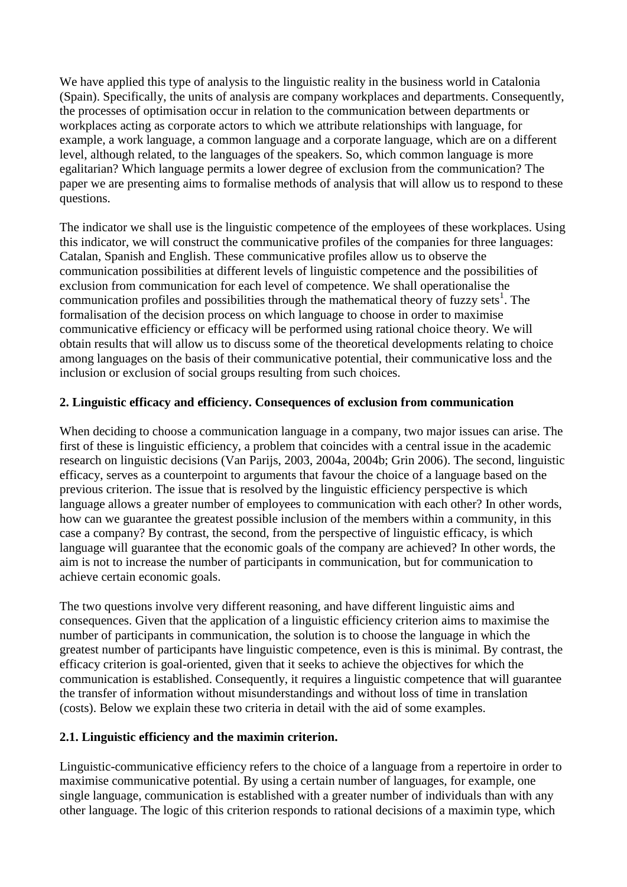We have applied this type of analysis to the linguistic reality in the business world in Catalonia (Spain). Specifically, the units of analysis are company workplaces and departments. Consequently, the processes of optimisation occur in relation to the communication between departments or workplaces acting as corporate actors to which we attribute relationships with language, for example, a work language, a common language and a corporate language, which are on a different level, although related, to the languages of the speakers. So, which common language is more egalitarian? Which language permits a lower degree of exclusion from the communication? The paper we are presenting aims to formalise methods of analysis that will allow us to respond to these questions.

The indicator we shall use is the linguistic competence of the employees of these workplaces. Using this indicator, we will construct the communicative profiles of the companies for three languages: Catalan, Spanish and English. These communicative profiles allow us to observe the communication possibilities at different levels of linguistic competence and the possibilities of exclusion from communication for each level of competence. We shall operationalise the communication profiles and possibilities through the mathematical theory of fuzzy sets<sup>1</sup>. The formalisation of the decision process on which language to choose in order to maximise communicative efficiency or efficacy will be performed using rational choice theory. We will obtain results that will allow us to discuss some of the theoretical developments relating to choice among languages on the basis of their communicative potential, their communicative loss and the inclusion or exclusion of social groups resulting from such choices.

## **2. Linguistic efficacy and efficiency. Consequences of exclusion from communication**

When deciding to choose a communication language in a company, two major issues can arise. The first of these is linguistic efficiency, a problem that coincides with a central issue in the academic research on linguistic decisions (Van Parijs, 2003, 2004a, 2004b; Grin 2006). The second, linguistic efficacy, serves as a counterpoint to arguments that favour the choice of a language based on the previous criterion. The issue that is resolved by the linguistic efficiency perspective is which language allows a greater number of employees to communication with each other? In other words, how can we guarantee the greatest possible inclusion of the members within a community, in this case a company? By contrast, the second, from the perspective of linguistic efficacy, is which language will guarantee that the economic goals of the company are achieved? In other words, the aim is not to increase the number of participants in communication, but for communication to achieve certain economic goals.

The two questions involve very different reasoning, and have different linguistic aims and consequences. Given that the application of a linguistic efficiency criterion aims to maximise the number of participants in communication, the solution is to choose the language in which the greatest number of participants have linguistic competence, even is this is minimal. By contrast, the efficacy criterion is goal-oriented, given that it seeks to achieve the objectives for which the communication is established. Consequently, it requires a linguistic competence that will guarantee the transfer of information without misunderstandings and without loss of time in translation (costs). Below we explain these two criteria in detail with the aid of some examples.

## **2.1. Linguistic efficiency and the maximin criterion.**

Linguistic-communicative efficiency refers to the choice of a language from a repertoire in order to maximise communicative potential. By using a certain number of languages, for example, one single language, communication is established with a greater number of individuals than with any other language. The logic of this criterion responds to rational decisions of a maximin type, which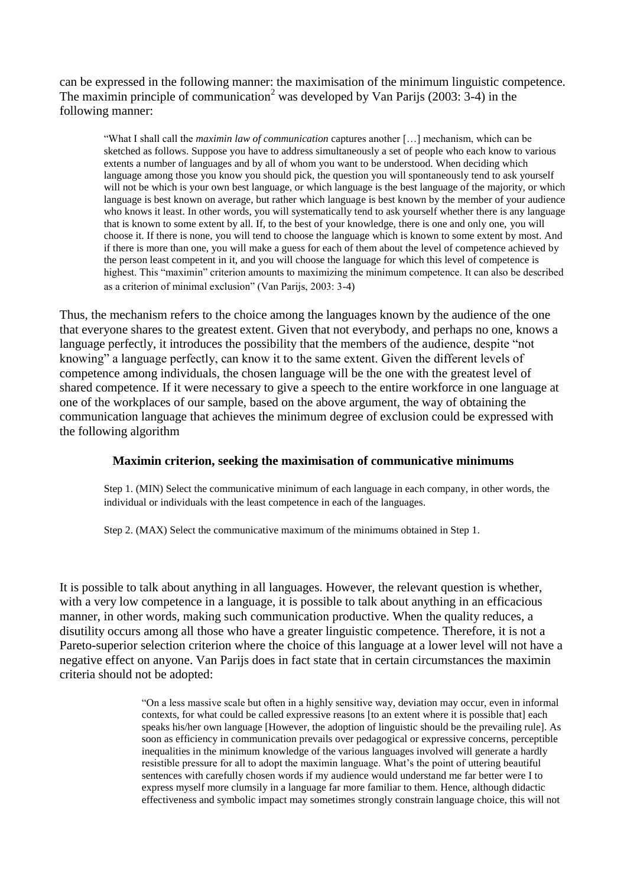can be expressed in the following manner: the maximisation of the minimum linguistic competence. The maximin principle of communication<sup>2</sup> was developed by Van Parijs (2003: 3-4) in the following manner:

"What I shall call the *maximin law of communication* captures another […] mechanism, which can be sketched as follows. Suppose you have to address simultaneously a set of people who each know to various extents a number of languages and by all of whom you want to be understood. When deciding which language among those you know you should pick, the question you will spontaneously tend to ask yourself will not be which is your own best language, or which language is the best language of the majority, or which language is best known on average, but rather which language is best known by the member of your audience who knows it least. In other words, you will systematically tend to ask yourself whether there is any language that is known to some extent by all. If, to the best of your knowledge, there is one and only one, you will choose it. If there is none, you will tend to choose the language which is known to some extent by most. And if there is more than one, you will make a guess for each of them about the level of competence achieved by the person least competent in it, and you will choose the language for which this level of competence is highest. This "maximin" criterion amounts to maximizing the minimum competence. It can also be described as a criterion of minimal exclusion" (Van Parijs, 2003: 3-4)

Thus, the mechanism refers to the choice among the languages known by the audience of the one that everyone shares to the greatest extent. Given that not everybody, and perhaps no one, knows a language perfectly, it introduces the possibility that the members of the audience, despite "not knowing" a language perfectly, can know it to the same extent. Given the different levels of competence among individuals, the chosen language will be the one with the greatest level of shared competence. If it were necessary to give a speech to the entire workforce in one language at one of the workplaces of our sample, based on the above argument, the way of obtaining the communication language that achieves the minimum degree of exclusion could be expressed with the following algorithm

## **Maximin criterion, seeking the maximisation of communicative minimums**

Step 1. (MIN) Select the communicative minimum of each language in each company, in other words, the individual or individuals with the least competence in each of the languages.

Step 2. (MAX) Select the communicative maximum of the minimums obtained in Step 1.

It is possible to talk about anything in all languages. However, the relevant question is whether, with a very low competence in a language, it is possible to talk about anything in an efficacious manner, in other words, making such communication productive. When the quality reduces, a disutility occurs among all those who have a greater linguistic competence. Therefore, it is not a Pareto-superior selection criterion where the choice of this language at a lower level will not have a negative effect on anyone. Van Parijs does in fact state that in certain circumstances the maximin criteria should not be adopted:

> "On a less massive scale but often in a highly sensitive way, deviation may occur, even in informal contexts, for what could be called expressive reasons [to an extent where it is possible that] each speaks his/her own language [However, the adoption of linguistic should be the prevailing rule]. As soon as efficiency in communication prevails over pedagogical or expressive concerns, perceptible inequalities in the minimum knowledge of the various languages involved will generate a hardly resistible pressure for all to adopt the maximin language. What's the point of uttering beautiful sentences with carefully chosen words if my audience would understand me far better were I to express myself more clumsily in a language far more familiar to them. Hence, although didactic effectiveness and symbolic impact may sometimes strongly constrain language choice, this will not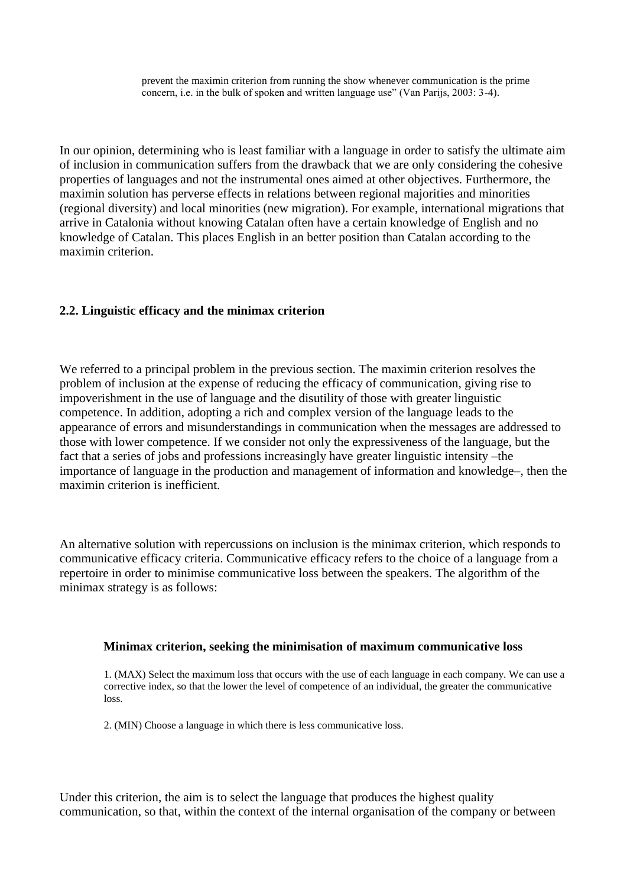prevent the maximin criterion from running the show whenever communication is the prime concern, i.e. in the bulk of spoken and written language use" (Van Parijs, 2003: 3-4).

In our opinion, determining who is least familiar with a language in order to satisfy the ultimate aim of inclusion in communication suffers from the drawback that we are only considering the cohesive properties of languages and not the instrumental ones aimed at other objectives. Furthermore, the maximin solution has perverse effects in relations between regional majorities and minorities (regional diversity) and local minorities (new migration). For example, international migrations that arrive in Catalonia without knowing Catalan often have a certain knowledge of English and no knowledge of Catalan. This places English in an better position than Catalan according to the maximin criterion.

## **2.2. Linguistic efficacy and the minimax criterion**

We referred to a principal problem in the previous section. The maximin criterion resolves the problem of inclusion at the expense of reducing the efficacy of communication, giving rise to impoverishment in the use of language and the disutility of those with greater linguistic competence. In addition, adopting a rich and complex version of the language leads to the appearance of errors and misunderstandings in communication when the messages are addressed to those with lower competence. If we consider not only the expressiveness of the language, but the fact that a series of jobs and professions increasingly have greater linguistic intensity –the importance of language in the production and management of information and knowledge–, then the maximin criterion is inefficient.

An alternative solution with repercussions on inclusion is the minimax criterion, which responds to communicative efficacy criteria. Communicative efficacy refers to the choice of a language from a repertoire in order to minimise communicative loss between the speakers. The algorithm of the minimax strategy is as follows:

#### **Minimax criterion, seeking the minimisation of maximum communicative loss**

1. (MAX) Select the maximum loss that occurs with the use of each language in each company. We can use a corrective index, so that the lower the level of competence of an individual, the greater the communicative loss.

2. (MIN) Choose a language in which there is less communicative loss.

Under this criterion, the aim is to select the language that produces the highest quality communication, so that, within the context of the internal organisation of the company or between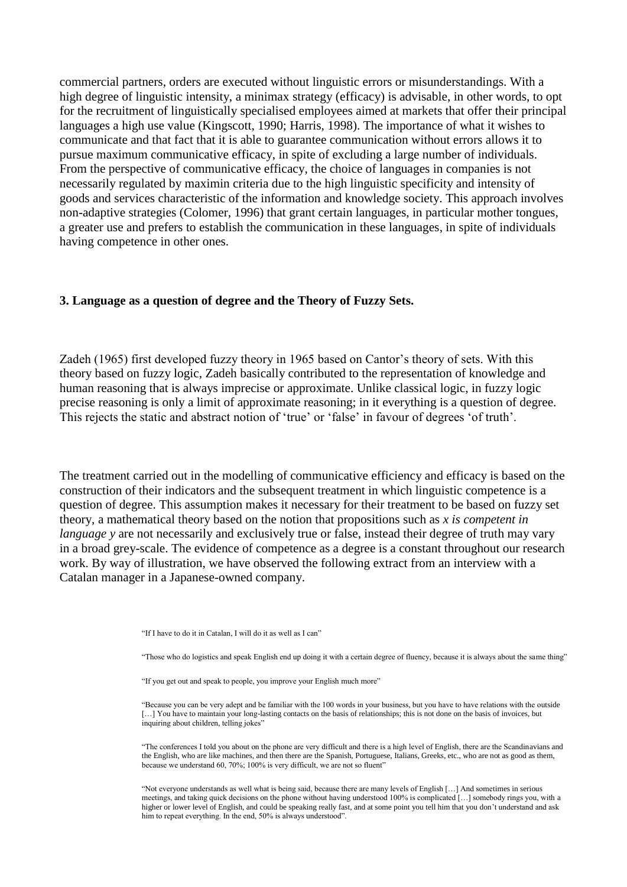commercial partners, orders are executed without linguistic errors or misunderstandings. With a high degree of linguistic intensity, a minimax strategy (efficacy) is advisable, in other words, to opt for the recruitment of linguistically specialised employees aimed at markets that offer their principal languages a high use value (Kingscott, 1990; Harris, 1998). The importance of what it wishes to communicate and that fact that it is able to guarantee communication without errors allows it to pursue maximum communicative efficacy, in spite of excluding a large number of individuals. From the perspective of communicative efficacy, the choice of languages in companies is not necessarily regulated by maximin criteria due to the high linguistic specificity and intensity of goods and services characteristic of the information and knowledge society. This approach involves non-adaptive strategies (Colomer, 1996) that grant certain languages, in particular mother tongues, a greater use and prefers to establish the communication in these languages, in spite of individuals having competence in other ones.

#### **3. Language as a question of degree and the Theory of Fuzzy Sets.**

Zadeh (1965) first developed fuzzy theory in 1965 based on Cantor"s theory of sets. With this theory based on fuzzy logic, Zadeh basically contributed to the representation of knowledge and human reasoning that is always imprecise or approximate. Unlike classical logic, in fuzzy logic precise reasoning is only a limit of approximate reasoning; in it everything is a question of degree. This rejects the static and abstract notion of 'true' or 'false' in favour of degrees 'of truth'.

The treatment carried out in the modelling of communicative efficiency and efficacy is based on the construction of their indicators and the subsequent treatment in which linguistic competence is a question of degree. This assumption makes it necessary for their treatment to be based on fuzzy set theory, a mathematical theory based on the notion that propositions such as *x is competent in language* y are not necessarily and exclusively true or false, instead their degree of truth may vary in a broad grey-scale. The evidence of competence as a degree is a constant throughout our research work. By way of illustration, we have observed the following extract from an interview with a Catalan manager in a Japanese-owned company.

"If I have to do it in Catalan, I will do it as well as I can"

"Those who do logistics and speak English end up doing it with a certain degree of fluency, because it is always about the same thing"

"If you get out and speak to people, you improve your English much more"

"Because you can be very adept and be familiar with the 100 words in your business, but you have to have relations with the outside [...] You have to maintain your long-lasting contacts on the basis of relationships; this is not done on the basis of invoices, but inquiring about children, telling jokes"

"The conferences I told you about on the phone are very difficult and there is a high level of English, there are the Scandinavians and the English, who are like machines, and then there are the Spanish, Portuguese, Italians, Greeks, etc., who are not as good as them, because we understand 60, 70%; 100% is very difficult, we are not so fluent"

"Not everyone understands as well what is being said, because there are many levels of English […] And sometimes in serious meetings, and taking quick decisions on the phone without having understood 100% is complicated […] somebody rings you, with a higher or lower level of English, and could be speaking really fast, and at some point you tell him that you don"t understand and ask him to repeat everything. In the end, 50% is always understood".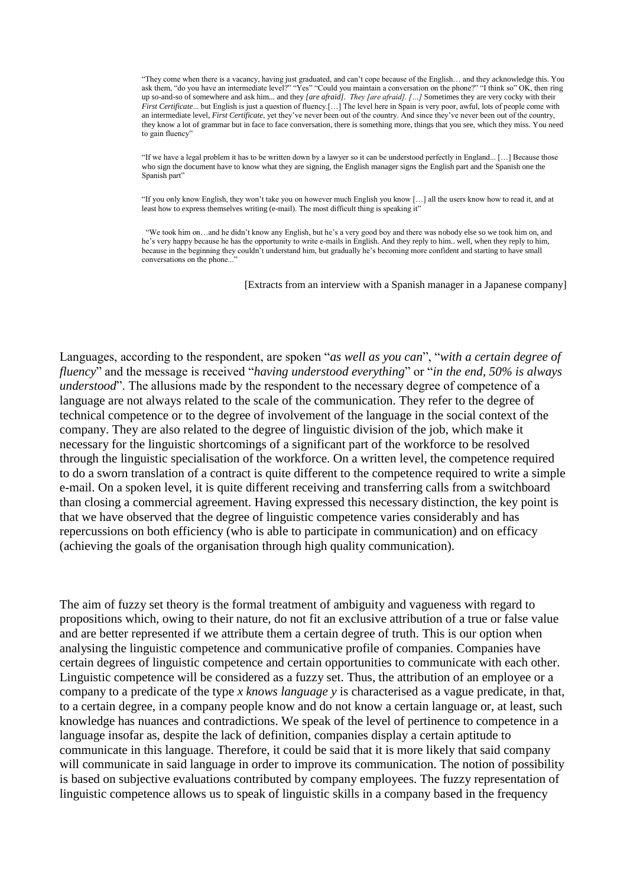"They come when there is a vacancy, having just graduated, and can"t cope because of the English… and they acknowledge this. You ask them, "do you have an intermediate level?" "Yes" "Could you maintain a conversation on the phone?" "I think so" OK, then ring up so-and-so of somewhere and ask him... and they *[are afraid]. They [are afraid]. […]* Sometimes they are very cocky with their *First Certificate...* but English is just a question of fluency.[...] The level here in Spain is very poor, awful, lots of people come with an intermediate level, *First Certificate*, yet they"ve never been out of the country. And since they"ve never been out of the country, they know a lot of grammar but in face to face conversation, there is something more, things that you see, which they miss. You need to gain fluency"

"If we have a legal problem it has to be written down by a lawyer so it can be understood perfectly in England... […] Because those who sign the document have to know what they are signing, the English manager signs the English part and the Spanish one the Spanish part"

"If you only know English, they won"t take you on however much English you know […] all the users know how to read it, and at least how to express themselves writing (e-mail). The most difficult thing is speaking it"

"We took him on…and he didn"t know any English, but he"s a very good boy and there was nobody else so we took him on, and he's very happy because he has the opportunity to write e-mails in English. And they reply to him.. well, when they reply to him, because in the beginning they couldn"t understand him, but gradually he"s becoming more confident and starting to have small conversations on the phone...

[Extracts from an interview with a Spanish manager in a Japanese company]

Languages, according to the respondent, are spoken "*as well as you can*", "*with a certain degree of fluency*" and the message is received "*having understood everything*" or "*in the end, 50% is always understood*". The allusions made by the respondent to the necessary degree of competence of a language are not always related to the scale of the communication. They refer to the degree of technical competence or to the degree of involvement of the language in the social context of the company. They are also related to the degree of linguistic division of the job, which make it necessary for the linguistic shortcomings of a significant part of the workforce to be resolved through the linguistic specialisation of the workforce. On a written level, the competence required to do a sworn translation of a contract is quite different to the competence required to write a simple e-mail. On a spoken level, it is quite different receiving and transferring calls from a switchboard than closing a commercial agreement. Having expressed this necessary distinction, the key point is that we have observed that the degree of linguistic competence varies considerably and has repercussions on both efficiency (who is able to participate in communication) and on efficacy (achieving the goals of the organisation through high quality communication).

The aim of fuzzy set theory is the formal treatment of ambiguity and vagueness with regard to propositions which, owing to their nature, do not fit an exclusive attribution of a true or false value and are better represented if we attribute them a certain degree of truth. This is our option when analysing the linguistic competence and communicative profile of companies. Companies have certain degrees of linguistic competence and certain opportunities to communicate with each other. Linguistic competence will be considered as a fuzzy set. Thus, the attribution of an employee or a company to a predicate of the type *x knows language y* is characterised as a vague predicate, in that, to a certain degree, in a company people know and do not know a certain language or, at least, such knowledge has nuances and contradictions. We speak of the level of pertinence to competence in a language insofar as, despite the lack of definition, companies display a certain aptitude to communicate in this language. Therefore, it could be said that it is more likely that said company will communicate in said language in order to improve its communication. The notion of possibility is based on subjective evaluations contributed by company employees. The fuzzy representation of linguistic competence allows us to speak of linguistic skills in a company based in the frequency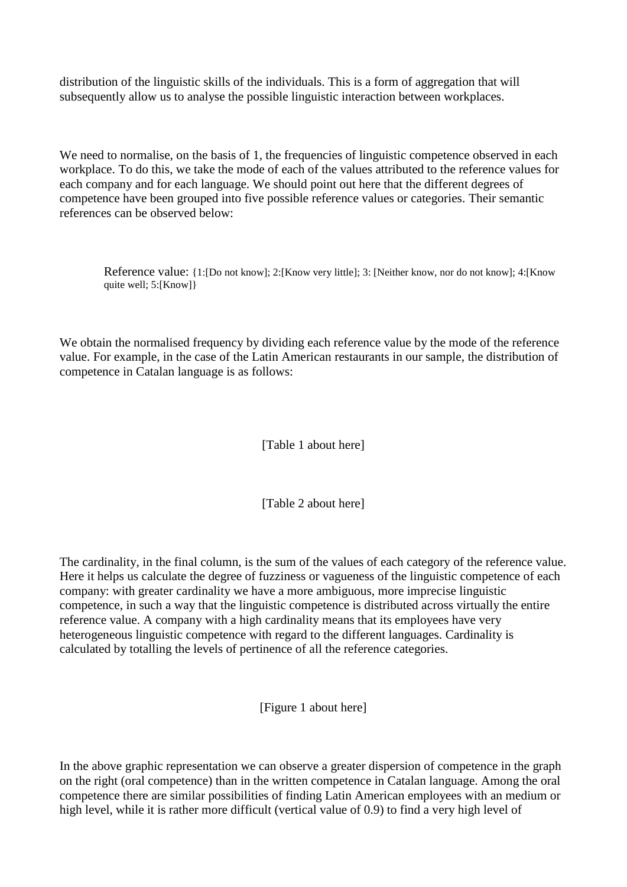distribution of the linguistic skills of the individuals. This is a form of aggregation that will subsequently allow us to analyse the possible linguistic interaction between workplaces.

We need to normalise, on the basis of 1, the frequencies of linguistic competence observed in each workplace. To do this, we take the mode of each of the values attributed to the reference values for each company and for each language. We should point out here that the different degrees of competence have been grouped into five possible reference values or categories. Their semantic references can be observed below:

Reference value: {1:[Do not know]; 2:[Know very little]; 3: [Neither know, nor do not know]; 4:[Know quite well: 5:[Know]}

We obtain the normalised frequency by dividing each reference value by the mode of the reference value. For example, in the case of the Latin American restaurants in our sample, the distribution of competence in Catalan language is as follows:

[Table 1 about here]

[Table 2 about here]

The cardinality, in the final column, is the sum of the values of each category of the reference value. Here it helps us calculate the degree of fuzziness or vagueness of the linguistic competence of each company: with greater cardinality we have a more ambiguous, more imprecise linguistic competence, in such a way that the linguistic competence is distributed across virtually the entire reference value. A company with a high cardinality means that its employees have very heterogeneous linguistic competence with regard to the different languages. Cardinality is calculated by totalling the levels of pertinence of all the reference categories.

[Figure 1 about here]

In the above graphic representation we can observe a greater dispersion of competence in the graph on the right (oral competence) than in the written competence in Catalan language. Among the oral competence there are similar possibilities of finding Latin American employees with an medium or high level, while it is rather more difficult (vertical value of 0.9) to find a very high level of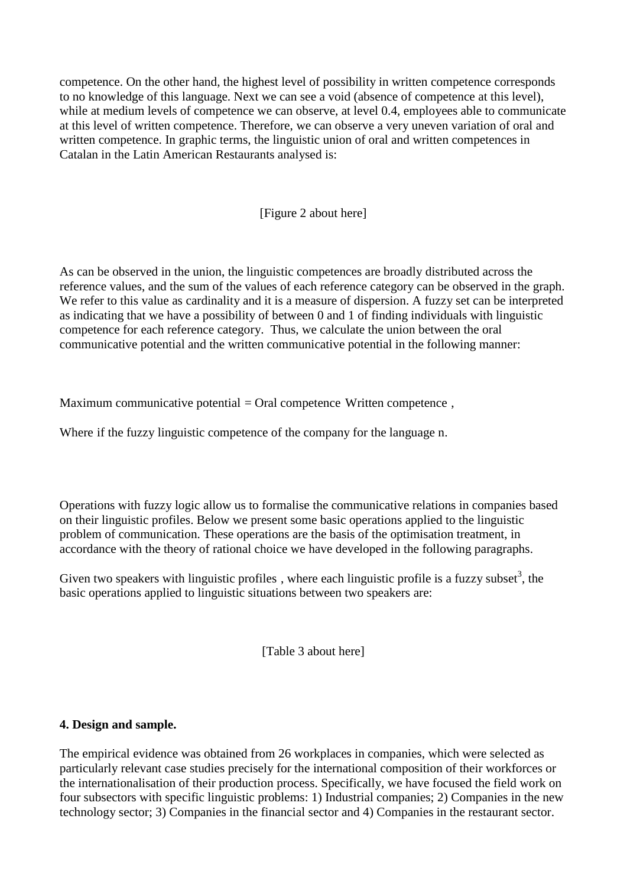competence. On the other hand, the highest level of possibility in written competence corresponds to no knowledge of this language. Next we can see a void (absence of competence at this level), while at medium levels of competence we can observe, at level 0.4, employees able to communicate at this level of written competence. Therefore, we can observe a very uneven variation of oral and written competence. In graphic terms, the linguistic union of oral and written competences in Catalan in the Latin American Restaurants analysed is:

[Figure 2 about here]

As can be observed in the union, the linguistic competences are broadly distributed across the reference values, and the sum of the values of each reference category can be observed in the graph. We refer to this value as cardinality and it is a measure of dispersion. A fuzzy set can be interpreted as indicating that we have a possibility of between 0 and 1 of finding individuals with linguistic competence for each reference category. Thus, we calculate the union between the oral communicative potential and the written communicative potential in the following manner:

Maximum communicative potential  $=$  Oral competence Written competence,

Where if the fuzzy linguistic competence of the company for the language n.

Operations with fuzzy logic allow us to formalise the communicative relations in companies based on their linguistic profiles. Below we present some basic operations applied to the linguistic problem of communication. These operations are the basis of the optimisation treatment, in accordance with the theory of rational choice we have developed in the following paragraphs.

Given two speakers with linguistic profiles, where each linguistic profile is a fuzzy subset<sup>3</sup>, the basic operations applied to linguistic situations between two speakers are:

[Table 3 about here]

## **4. Design and sample.**

The empirical evidence was obtained from 26 workplaces in companies, which were selected as particularly relevant case studies precisely for the international composition of their workforces or the internationalisation of their production process. Specifically, we have focused the field work on four subsectors with specific linguistic problems: 1) Industrial companies; 2) Companies in the new technology sector; 3) Companies in the financial sector and 4) Companies in the restaurant sector.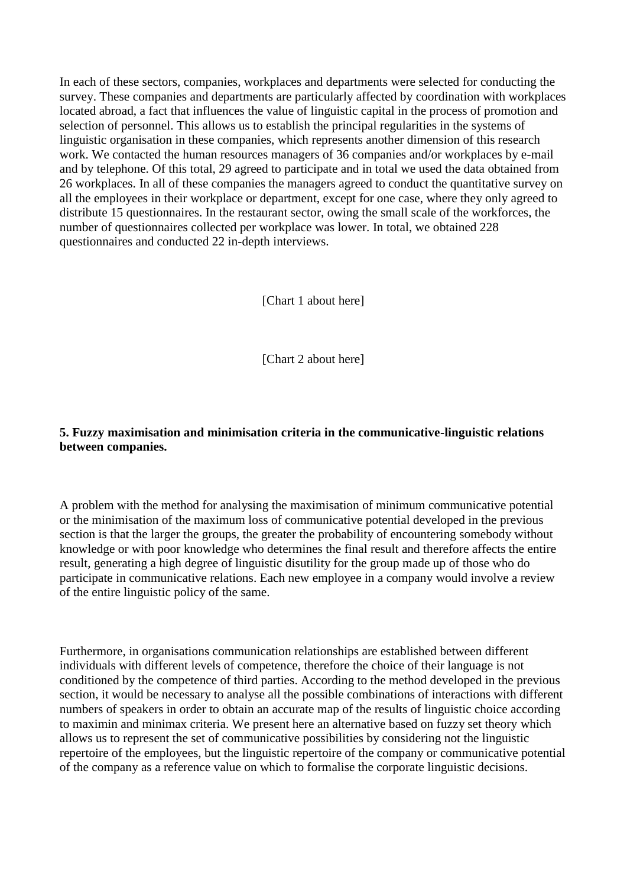In each of these sectors, companies, workplaces and departments were selected for conducting the survey. These companies and departments are particularly affected by coordination with workplaces located abroad, a fact that influences the value of linguistic capital in the process of promotion and selection of personnel. This allows us to establish the principal regularities in the systems of linguistic organisation in these companies, which represents another dimension of this research work. We contacted the human resources managers of 36 companies and/or workplaces by e-mail and by telephone. Of this total, 29 agreed to participate and in total we used the data obtained from 26 workplaces. In all of these companies the managers agreed to conduct the quantitative survey on all the employees in their workplace or department, except for one case, where they only agreed to distribute 15 questionnaires. In the restaurant sector, owing the small scale of the workforces, the number of questionnaires collected per workplace was lower. In total, we obtained 228 questionnaires and conducted 22 in-depth interviews.

[Chart 1 about here]

[Chart 2 about here]

## **5. Fuzzy maximisation and minimisation criteria in the communicative-linguistic relations between companies.**

A problem with the method for analysing the maximisation of minimum communicative potential or the minimisation of the maximum loss of communicative potential developed in the previous section is that the larger the groups, the greater the probability of encountering somebody without knowledge or with poor knowledge who determines the final result and therefore affects the entire result, generating a high degree of linguistic disutility for the group made up of those who do participate in communicative relations. Each new employee in a company would involve a review of the entire linguistic policy of the same.

Furthermore, in organisations communication relationships are established between different individuals with different levels of competence, therefore the choice of their language is not conditioned by the competence of third parties. According to the method developed in the previous section, it would be necessary to analyse all the possible combinations of interactions with different numbers of speakers in order to obtain an accurate map of the results of linguistic choice according to maximin and minimax criteria. We present here an alternative based on fuzzy set theory which allows us to represent the set of communicative possibilities by considering not the linguistic repertoire of the employees, but the linguistic repertoire of the company or communicative potential of the company as a reference value on which to formalise the corporate linguistic decisions.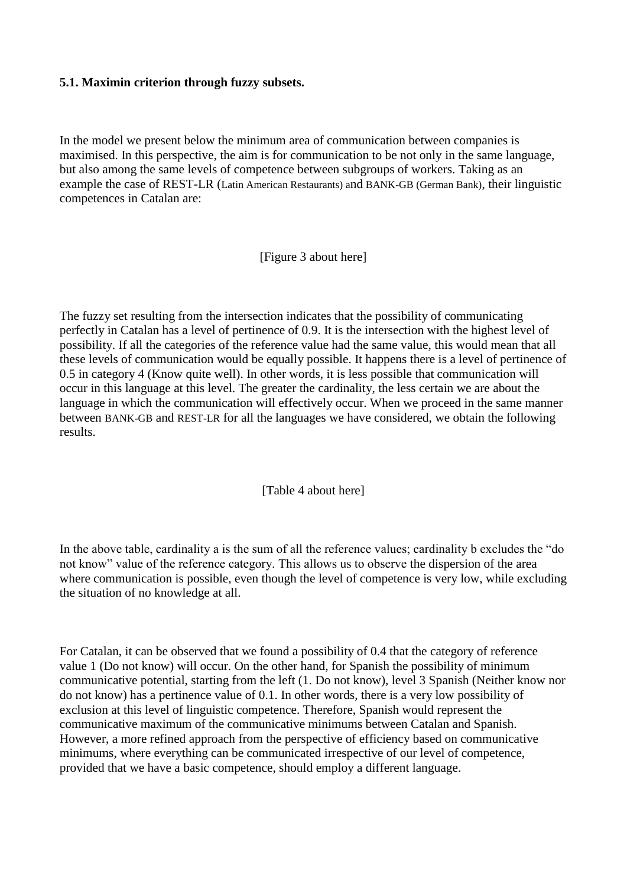## **5.1. Maximin criterion through fuzzy subsets.**

In the model we present below the minimum area of communication between companies is maximised. In this perspective, the aim is for communication to be not only in the same language, but also among the same levels of competence between subgroups of workers. Taking as an example the case of REST-LR (Latin American Restaurants) and BANK-GB (German Bank), their linguistic competences in Catalan are:

[Figure 3 about here]

The fuzzy set resulting from the intersection indicates that the possibility of communicating perfectly in Catalan has a level of pertinence of 0.9. It is the intersection with the highest level of possibility. If all the categories of the reference value had the same value, this would mean that all these levels of communication would be equally possible. It happens there is a level of pertinence of 0.5 in category 4 (Know quite well). In other words, it is less possible that communication will occur in this language at this level. The greater the cardinality, the less certain we are about the language in which the communication will effectively occur. When we proceed in the same manner between BANK-GB and REST-LR for all the languages we have considered, we obtain the following results.

## [Table 4 about here]

In the above table, cardinality a is the sum of all the reference values; cardinality b excludes the "do not know" value of the reference category. This allows us to observe the dispersion of the area where communication is possible, even though the level of competence is very low, while excluding the situation of no knowledge at all.

For Catalan, it can be observed that we found a possibility of 0.4 that the category of reference value 1 (Do not know) will occur. On the other hand, for Spanish the possibility of minimum communicative potential, starting from the left (1. Do not know), level 3 Spanish (Neither know nor do not know) has a pertinence value of 0.1. In other words, there is a very low possibility of exclusion at this level of linguistic competence. Therefore, Spanish would represent the communicative maximum of the communicative minimums between Catalan and Spanish. However, a more refined approach from the perspective of efficiency based on communicative minimums, where everything can be communicated irrespective of our level of competence, provided that we have a basic competence, should employ a different language.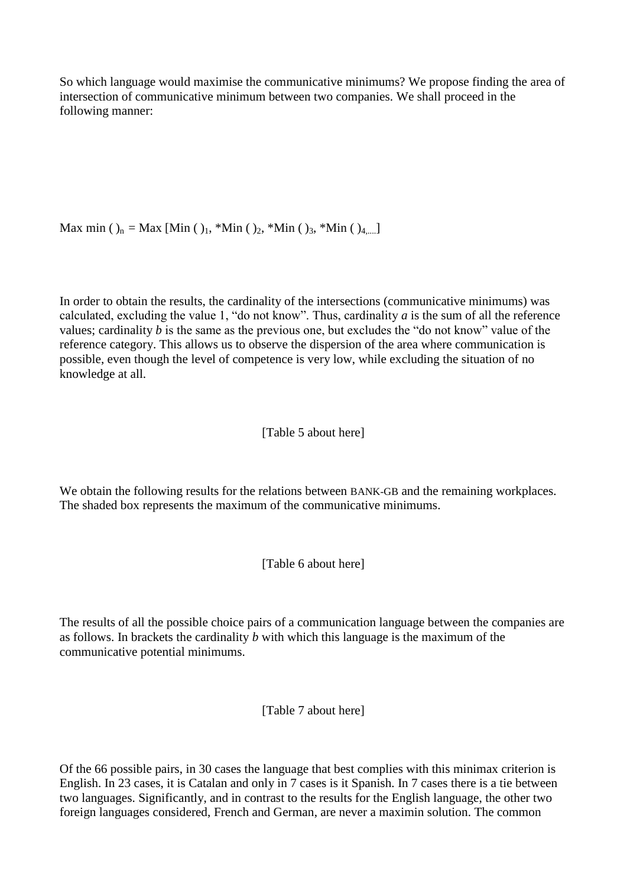So which language would maximise the communicative minimums? We propose finding the area of intersection of communicative minimum between two companies. We shall proceed in the following manner:

Max min ( )<sub>n</sub> = Max [Min ( )<sub>1</sub>, \*Min ( )<sub>2</sub>, \*Min ( )<sub>3</sub>, \*Min ( )<sub>4,...</sub>]

In order to obtain the results, the cardinality of the intersections (communicative minimums) was calculated, excluding the value 1, "do not know". Thus, cardinality *a* is the sum of all the reference values; cardinality *b* is the same as the previous one, but excludes the "do not know" value of the reference category. This allows us to observe the dispersion of the area where communication is possible, even though the level of competence is very low, while excluding the situation of no knowledge at all.

## [Table 5 about here]

We obtain the following results for the relations between BANK-GB and the remaining workplaces. The shaded box represents the maximum of the communicative minimums.

[Table 6 about here]

The results of all the possible choice pairs of a communication language between the companies are as follows. In brackets the cardinality *b* with which this language is the maximum of the communicative potential minimums.

[Table 7 about here]

Of the 66 possible pairs, in 30 cases the language that best complies with this minimax criterion is English. In 23 cases, it is Catalan and only in 7 cases is it Spanish. In 7 cases there is a tie between two languages. Significantly, and in contrast to the results for the English language, the other two foreign languages considered, French and German, are never a maximin solution. The common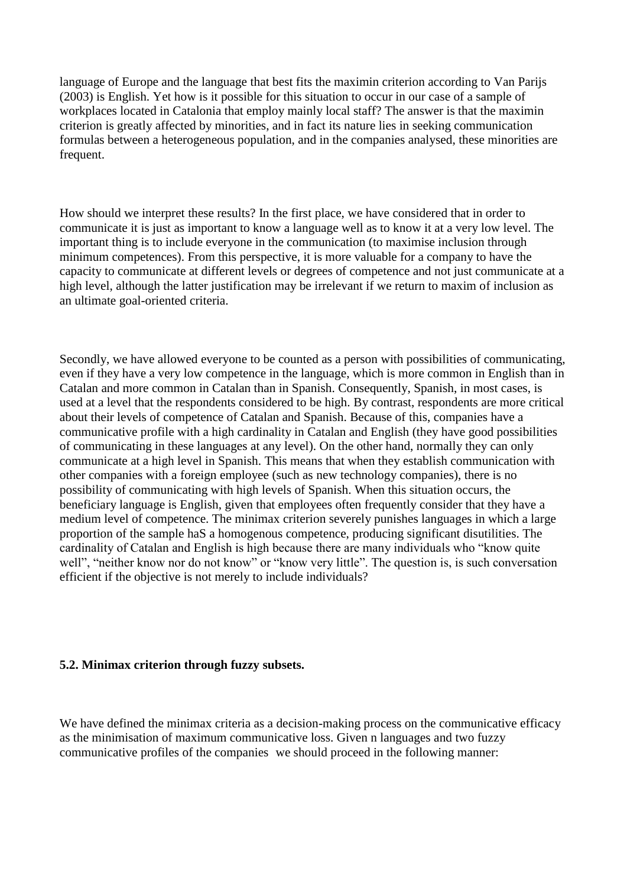language of Europe and the language that best fits the maximin criterion according to Van Parijs (2003) is English. Yet how is it possible for this situation to occur in our case of a sample of workplaces located in Catalonia that employ mainly local staff? The answer is that the maximin criterion is greatly affected by minorities, and in fact its nature lies in seeking communication formulas between a heterogeneous population, and in the companies analysed, these minorities are frequent.

How should we interpret these results? In the first place, we have considered that in order to communicate it is just as important to know a language well as to know it at a very low level. The important thing is to include everyone in the communication (to maximise inclusion through minimum competences). From this perspective, it is more valuable for a company to have the capacity to communicate at different levels or degrees of competence and not just communicate at a high level, although the latter justification may be irrelevant if we return to maxim of inclusion as an ultimate goal-oriented criteria.

Secondly, we have allowed everyone to be counted as a person with possibilities of communicating, even if they have a very low competence in the language, which is more common in English than in Catalan and more common in Catalan than in Spanish. Consequently, Spanish, in most cases, is used at a level that the respondents considered to be high. By contrast, respondents are more critical about their levels of competence of Catalan and Spanish. Because of this, companies have a communicative profile with a high cardinality in Catalan and English (they have good possibilities of communicating in these languages at any level). On the other hand, normally they can only communicate at a high level in Spanish. This means that when they establish communication with other companies with a foreign employee (such as new technology companies), there is no possibility of communicating with high levels of Spanish. When this situation occurs, the beneficiary language is English, given that employees often frequently consider that they have a medium level of competence. The minimax criterion severely punishes languages in which a large proportion of the sample haS a homogenous competence, producing significant disutilities. The cardinality of Catalan and English is high because there are many individuals who "know quite well", "neither know nor do not know" or "know very little". The question is, is such conversation efficient if the objective is not merely to include individuals?

#### **5.2. Minimax criterion through fuzzy subsets.**

We have defined the minimax criteria as a decision-making process on the communicative efficacy as the minimisation of maximum communicative loss. Given n languages and two fuzzy communicative profiles of the companies we should proceed in the following manner: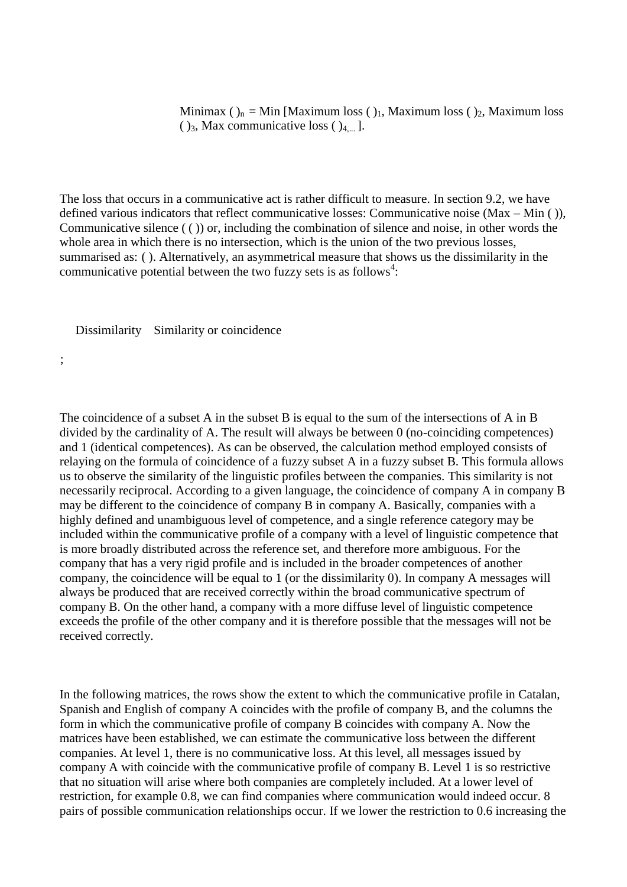Minimax  $()_n = Min$  [Maximum loss  $()_1$ , Maximum loss  $()_2$ , Maximum loss  $(y_3, \text{Max communicative loss} (x_4)$ .

The loss that occurs in a communicative act is rather difficult to measure. In section 9.2, we have defined various indicators that reflect communicative losses: Communicative noise (Max – Min ( )), Communicative silence ( ( )) or, including the combination of silence and noise, in other words the whole area in which there is no intersection, which is the union of the two previous losses, summarised as: ( ). Alternatively, an asymmetrical measure that shows us the dissimilarity in the communicative potential between the two fuzzy sets is as follows<sup>4</sup>:

Dissimilarity Similarity or coincidence

;

The coincidence of a subset A in the subset B is equal to the sum of the intersections of A in B divided by the cardinality of A. The result will always be between 0 (no-coinciding competences) and 1 (identical competences). As can be observed, the calculation method employed consists of relaying on the formula of coincidence of a fuzzy subset A in a fuzzy subset B. This formula allows us to observe the similarity of the linguistic profiles between the companies. This similarity is not necessarily reciprocal. According to a given language, the coincidence of company A in company B may be different to the coincidence of company B in company A. Basically, companies with a highly defined and unambiguous level of competence, and a single reference category may be included within the communicative profile of a company with a level of linguistic competence that is more broadly distributed across the reference set, and therefore more ambiguous. For the company that has a very rigid profile and is included in the broader competences of another company, the coincidence will be equal to 1 (or the dissimilarity 0). In company A messages will always be produced that are received correctly within the broad communicative spectrum of company B. On the other hand, a company with a more diffuse level of linguistic competence exceeds the profile of the other company and it is therefore possible that the messages will not be received correctly.

In the following matrices, the rows show the extent to which the communicative profile in Catalan, Spanish and English of company A coincides with the profile of company B, and the columns the form in which the communicative profile of company B coincides with company A. Now the matrices have been established, we can estimate the communicative loss between the different companies. At level 1, there is no communicative loss. At this level, all messages issued by company A with coincide with the communicative profile of company B. Level 1 is so restrictive that no situation will arise where both companies are completely included. At a lower level of restriction, for example 0.8, we can find companies where communication would indeed occur. 8 pairs of possible communication relationships occur. If we lower the restriction to 0.6 increasing the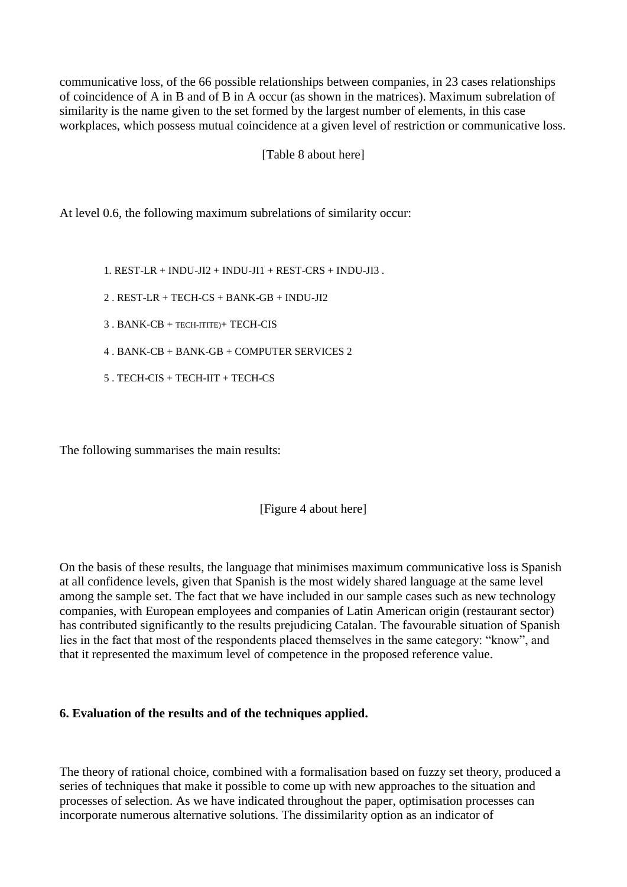communicative loss, of the 66 possible relationships between companies, in 23 cases relationships of coincidence of A in B and of B in A occur (as shown in the matrices). Maximum subrelation of similarity is the name given to the set formed by the largest number of elements, in this case workplaces, which possess mutual coincidence at a given level of restriction or communicative loss.

[Table 8 about here]

At level 0.6, the following maximum subrelations of similarity occur:

1. REST-LR + INDU-JI2 + INDU-JI1 + REST-CRS + INDU-JI3.

- 2 . REST-LR + TECH-CS + BANK-GB + INDU-JI2
- 3 . BANK-CB + TECH-ITITE)+ TECH-CIS
- 4 . BANK-CB + BANK-GB + COMPUTER SERVICES 2
- 5 . TECH-CIS + TECH-IIT + TECH-CS

The following summarises the main results:

[Figure 4 about here]

On the basis of these results, the language that minimises maximum communicative loss is Spanish at all confidence levels, given that Spanish is the most widely shared language at the same level among the sample set. The fact that we have included in our sample cases such as new technology companies, with European employees and companies of Latin American origin (restaurant sector) has contributed significantly to the results prejudicing Catalan. The favourable situation of Spanish lies in the fact that most of the respondents placed themselves in the same category: "know", and that it represented the maximum level of competence in the proposed reference value.

## **6. Evaluation of the results and of the techniques applied.**

The theory of rational choice, combined with a formalisation based on fuzzy set theory, produced a series of techniques that make it possible to come up with new approaches to the situation and processes of selection. As we have indicated throughout the paper, optimisation processes can incorporate numerous alternative solutions. The dissimilarity option as an indicator of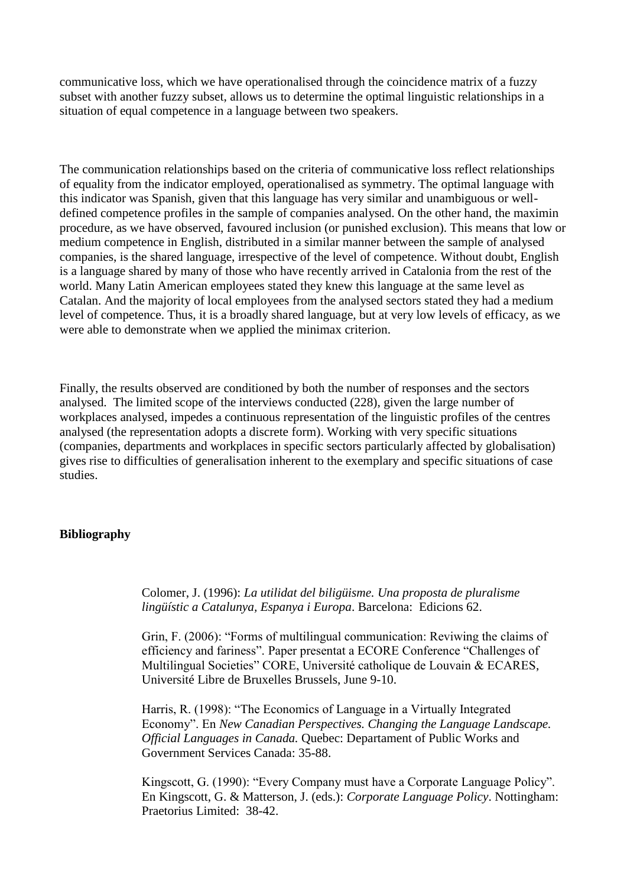communicative loss, which we have operationalised through the coincidence matrix of a fuzzy subset with another fuzzy subset, allows us to determine the optimal linguistic relationships in a situation of equal competence in a language between two speakers.

The communication relationships based on the criteria of communicative loss reflect relationships of equality from the indicator employed, operationalised as symmetry. The optimal language with this indicator was Spanish, given that this language has very similar and unambiguous or welldefined competence profiles in the sample of companies analysed. On the other hand, the maximin procedure, as we have observed, favoured inclusion (or punished exclusion). This means that low or medium competence in English, distributed in a similar manner between the sample of analysed companies, is the shared language, irrespective of the level of competence. Without doubt, English is a language shared by many of those who have recently arrived in Catalonia from the rest of the world. Many Latin American employees stated they knew this language at the same level as Catalan. And the majority of local employees from the analysed sectors stated they had a medium level of competence. Thus, it is a broadly shared language, but at very low levels of efficacy, as we were able to demonstrate when we applied the minimax criterion.

Finally, the results observed are conditioned by both the number of responses and the sectors analysed. The limited scope of the interviews conducted (228), given the large number of workplaces analysed, impedes a continuous representation of the linguistic profiles of the centres analysed (the representation adopts a discrete form). Working with very specific situations (companies, departments and workplaces in specific sectors particularly affected by globalisation) gives rise to difficulties of generalisation inherent to the exemplary and specific situations of case studies.

## **Bibliography**

Colomer, J. (1996): *La utilidat del biligüisme. Una proposta de pluralisme lingüístic a Catalunya, Espanya i Europa*. Barcelona: Edicions 62.

Grin, F. (2006): "Forms of multilingual communication: Reviwing the claims of efficiency and fariness". Paper presentat a ECORE Conference "Challenges of Multilingual Societies" CORE, Université catholique de Louvain & ECARES, Université Libre de Bruxelles Brussels, June 9-10.

Harris, R. (1998): "The Economics of Language in a Virtually Integrated Economy". En *New Canadian Perspectives. Changing the Language Landscape. Official Languages in Canada.* Quebec: Departament of Public Works and Government Services Canada: 35-88.

Kingscott, G. (1990): "Every Company must have a Corporate Language Policy". En Kingscott, G. & Matterson, J. (eds.): *Corporate Language Policy*. Nottingham: Praetorius Limited: 38-42.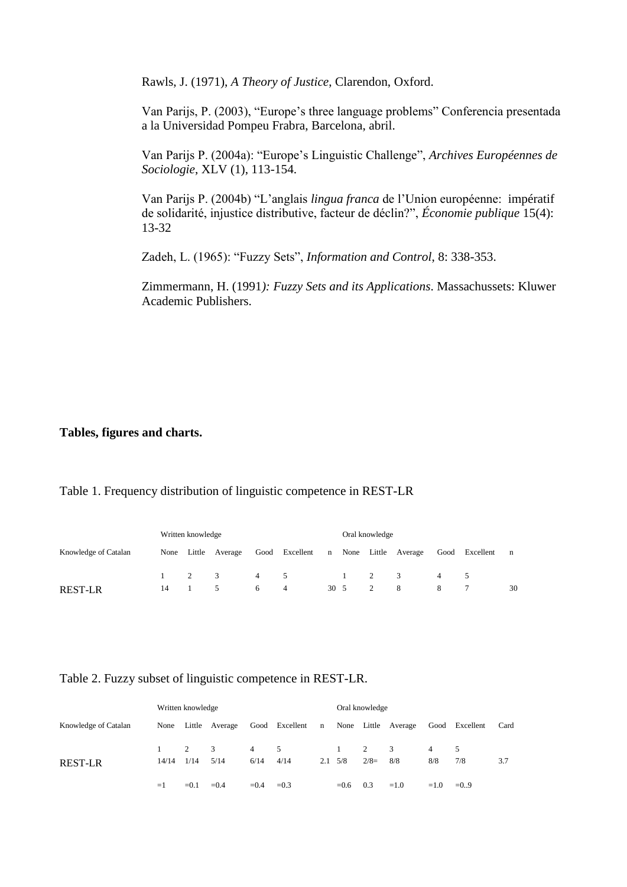Rawls, J. (1971), *A Theory of Justice*, Clarendon, Oxford.

Van Parijs, P. (2003), "Europe"s three language problems" Conferencia presentada a la Universidad Pompeu Frabra, Barcelona, abril.

Van Parijs P. (2004a): "Europe"s Linguistic Challenge", *Archives Européennes de Sociologie*, XLV (1), 113-154.

Van Parijs P. (2004b) "L"anglais *lingua franca* de l"Union européenne: impératif de solidarité, injustice distributive, facteur de déclin?", *Économie publique* 15(4): 13-32

Zadeh, L. (1965): "Fuzzy Sets", *Information and Control*, 8: 338-353.

Zimmermann, H. (1991*): Fuzzy Sets and its Applications*. Massachussets: Kluwer Academic Publishers.

**Tables, figures and charts.**

## Table 1. Frequency distribution of linguistic competence in REST-LR

| Written knowledge    |                  |        |                |     |                |              |  | Oral knowledge |                     |   |                |    |  |  |
|----------------------|------------------|--------|----------------|-----|----------------|--------------|--|----------------|---------------------|---|----------------|----|--|--|
| Knowledge of Catalan | None             | Little | Average        |     | Good Excellent | n            |  |                | None Little Average |   | Good Excellent | n  |  |  |
|                      | $1 \quad \cdots$ | 2      | $\overline{3}$ | 4 5 |                |              |  | $1 \quad 2$    | -3                  | 4 |                |    |  |  |
| <b>REST-LR</b>       | 14               |        |                | 6   | -4             | $30 \quad 5$ |  | 2              | -8                  |   |                | 30 |  |  |

Table 2. Fuzzy subset of linguistic competence in REST-LR.

|                      |       | Written knowledge |                                    |             |        |              |                                 | Oral knowledge           |                     |                       |                |      |
|----------------------|-------|-------------------|------------------------------------|-------------|--------|--------------|---------------------------------|--------------------------|---------------------|-----------------------|----------------|------|
| Knowledge of Catalan |       |                   | None Little Average Good Excellent |             |        | $\mathbf{n}$ |                                 |                          | None Little Average |                       | Good Excellent | Card |
| <b>REST-LR</b>       | 14/14 | 2<br>1/14         | 3<br>5/14                          | 4 5<br>6/14 | 4/14   |              | $\mathbf{1}$<br>$2.1 \quad 5/8$ | $\overline{2}$<br>$2/8=$ | -3<br>8/8           | $\overline{4}$<br>8/8 | 5<br>7/8       | 3.7  |
|                      | $=1$  | $=0.1$            | $= 0.4$                            | $=0.4$      | $=0.3$ |              | $=0.6$                          | 0.3                      | $=1.0$              | $=1.0$                | $= 0.9$        |      |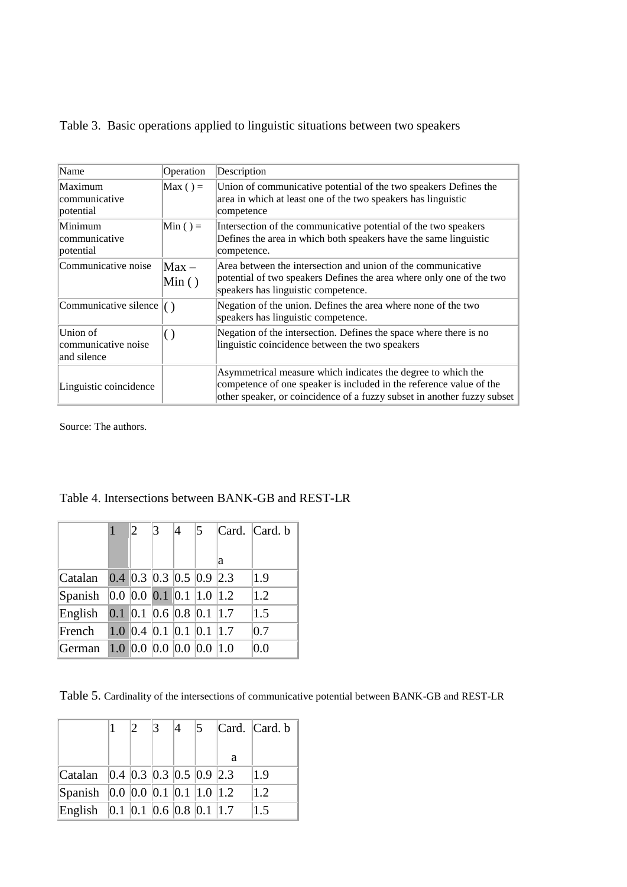|  | Table 3. Basic operations applied to linguistic situations between two speakers |  |  |  |  |  |
|--|---------------------------------------------------------------------------------|--|--|--|--|--|
|--|---------------------------------------------------------------------------------|--|--|--|--|--|

| Name                                           | Operation               | Description                                                                                                                                                                                                    |
|------------------------------------------------|-------------------------|----------------------------------------------------------------------------------------------------------------------------------------------------------------------------------------------------------------|
| Maximum<br>communicative<br>potential          | $\text{Max}$ ( ) =      | Union of communicative potential of the two speakers Defines the<br>area in which at least one of the two speakers has linguistic<br>competence                                                                |
| Minimum<br>communicative<br>potential          | $Min() =$               | Intersection of the communicative potential of the two speakers<br>Defines the area in which both speakers have the same linguistic<br>competence.                                                             |
| Communicative noise                            | $\text{Max}$ –<br>Min() | Area between the intersection and union of the communicative<br>potential of two speakers Defines the area where only one of the two<br>speakers has linguistic competence.                                    |
| Communicative silence                          |                         | Negation of the union. Defines the area where none of the two<br>speakers has linguistic competence.                                                                                                           |
| Union of<br>communicative noise<br>and silence | $\left( \ \right)$      | Negation of the intersection. Defines the space where there is no<br>linguistic coincidence between the two speakers                                                                                           |
| Linguistic coincidence                         |                         | Asymmetrical measure which indicates the degree to which the<br>competence of one speaker is included in the reference value of the<br>other speaker, or coincidence of a fuzzy subset in another fuzzy subset |

Source: The authors.

|         | 1 | $\overline{2}$            | 3 | 4 | 5 |   | Card. Card. b |
|---------|---|---------------------------|---|---|---|---|---------------|
|         |   |                           |   |   |   | a |               |
| Catalan |   | $0.4$ 0.3 0.3 0.5 0.9 2.3 |   |   |   |   | 1.9           |
| Spanish |   | 0.0 0.0 0.1 0.1 1.0 1.2   |   |   |   |   | 1.2           |
| English |   | $0.1$ 0.1 0.6 0.8 0.1 1.7 |   |   |   |   | 1.5           |
| French  |   | 1.0 0.4 0.1 0.1 0.1 1.7   |   |   |   |   | 0.7           |
| German  |   | 1.0 0.0 0.0 0.0 0.0 1.0   |   |   |   |   | 0.0           |

# Table 4. Intersections between BANK-GB and REST-LR

Table 5. Cardinality of the intersections of communicative potential between BANK-GB and REST-LR

|                                                                       |  | $\beta$ | $\vert 4 \vert$ | $\overline{5}$ |   | Card. Card. b |
|-----------------------------------------------------------------------|--|---------|-----------------|----------------|---|---------------|
|                                                                       |  |         |                 |                | a |               |
| Catalan $\vert 0.4 \vert 0.3 \vert 0.3 \vert 0.5 \vert 0.9 \vert 2.3$ |  |         |                 |                |   | 1.9           |
| Spanish $\vert 0.0 \vert 0.0 \vert 0.1 \vert 0.1 \vert 1.0 \vert 1.2$ |  |         |                 |                |   | 1.2           |
| English $\vert 0.1 \vert 0.1 \vert 0.6 \vert 0.8 \vert 0.1 \vert 1.7$ |  |         |                 |                |   | 1.5           |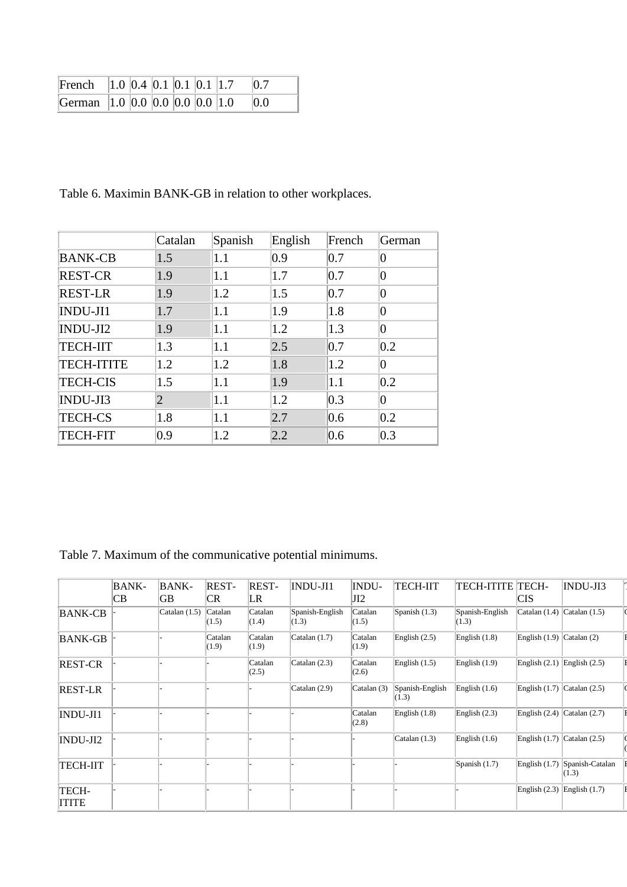| French   1.0   0.4   0.1   0.1   0.1   1.7 |  |  |  | 0.7 |
|--------------------------------------------|--|--|--|-----|
| German 1.0 0.0 0.0 0.0 0.0 1.0             |  |  |  | 0.0 |

Table 6. Maximin BANK-GB in relation to other workplaces.

|                   | Catalan | Spanish | English | French        | German         |
|-------------------|---------|---------|---------|---------------|----------------|
| <b>BANK-CB</b>    | 1.5     | 1.1     | 0.9     | 0.7           | $\overline{0}$ |
| <b>REST-CR</b>    | 1.9     | 1.1     | 1.7     | 0.7           | $\overline{0}$ |
| <b>REST-LR</b>    | 1.9     | 1.2     | 1.5     | 0.7           | $\overline{0}$ |
| INDU-JI1          | 1.7     | 1.1     | 1.9     | 1.8           | $\overline{0}$ |
| INDU-JI2          | 1.9     | 1.1     | 1.2     | $ 1.3\rangle$ | $\overline{0}$ |
| <b>TECH-IIT</b>   | 1.3     | 1.1     | 2.5     | 0.7           | 0.2            |
| <b>TECH-ITITE</b> | 1.2     | 1.2     | 1.8     | 1.2           | $\overline{0}$ |
| <b>TECH-CIS</b>   | 1.5     | 1.1     | 1.9     | 1.1           | 0.2            |
| INDU-JI3          | 2       | 1.1     | 1.2     | 0.3           | $\overline{0}$ |
| <b>TECH-CS</b>    | 1.8     | 1.1     | 2.7     | 0.6           | $ 0.2\rangle$  |
| <b>TECH-FIT</b>   | 0.9     | 1.2     | 2.2     | 0.6           | 0.3            |

Table 7. Maximum of the communicative potential minimums.

|                       | <b>BANK-</b><br>CВ | BANK-<br>GВ     | REST-<br>CR.     | <b>REST-</b><br>LR | INDU-JI1                 | INDU-<br>JI2     | <b>TECH-IIT</b>          | <b>TECH-ITITE TECH-</b>  | <b>CIS</b>                      | INDU-JI3                 |
|-----------------------|--------------------|-----------------|------------------|--------------------|--------------------------|------------------|--------------------------|--------------------------|---------------------------------|--------------------------|
| BANK-CB               |                    | Catalan $(1.5)$ | Catalan<br>(1.5) | Catalan<br>(1.4)   | Spanish-English<br>(1.3) | Catalan<br>(1.5) | Spanish $(1.3)$          | Spanish-English<br>(1.3) | Catalan (1.4)                   | Catalan $(1.5)$          |
| BANK-GB               |                    |                 | Catalan<br>(1.9) | Catalan<br>(1.9)   | Catalan $(1.7)$          | Catalan<br>(1.9) | English $(2.5)$          | English $(1.8)$          | English $(1.9)$ Catalan $(2)$   |                          |
| <b>REST-CR</b>        |                    |                 |                  | Catalan<br>(2.5)   | Catalan $(2.3)$          | Catalan<br>(2.6) | English $(1.5)$          | English $(1.9)$          | English $(2.1)$ English $(2.5)$ |                          |
| <b>REST-LR</b>        |                    |                 |                  |                    | Catalan $(2.9)$          | Catalan (3)      | Spanish-English<br>(1.3) | English $(1.6)$          | English $(1.7)$ Catalan $(2.5)$ |                          |
| INDU-JI1              |                    |                 |                  |                    |                          | Catalan<br>(2.8) | English $(1.8)$          | English $(2.3)$          | English $(2.4)$ Catalan $(2.7)$ |                          |
| INDU-JI2              |                    |                 |                  |                    |                          |                  | Catalan $(1.3)$          | English $(1.6)$          | English $(1.7)$ Catalan $(2.5)$ |                          |
| <b>TECH-IIT</b>       |                    |                 |                  |                    |                          |                  |                          | Spanish $(1.7)$          | English $(1.7)$                 | Spanish-Catalan<br>(1.3) |
| TECH-<br><b>ITITE</b> |                    |                 |                  |                    |                          |                  |                          |                          | English $(2.3)$                 | English $(1.7)$          |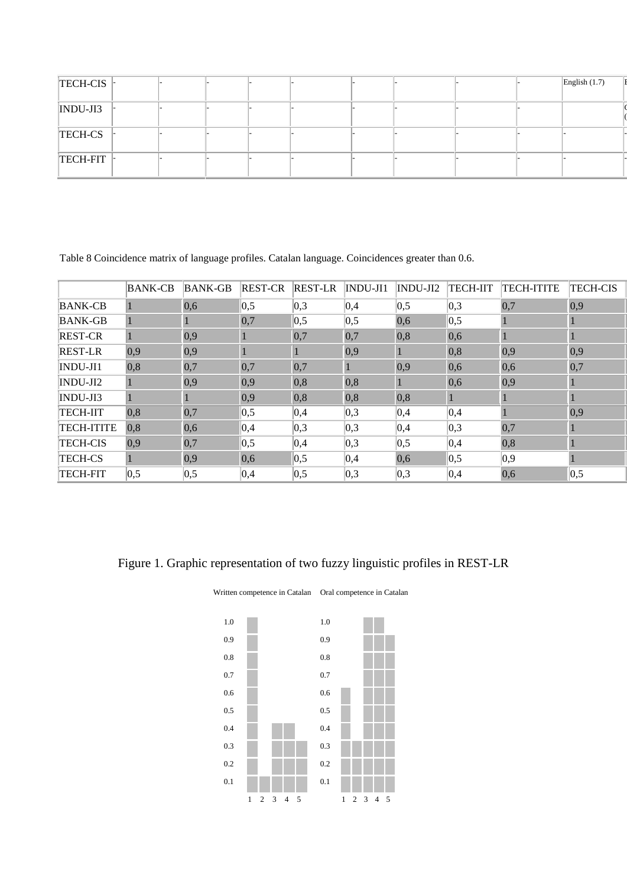| $TECH-CIS$  |  |  |  |  | English $(1.7)$ |  |
|-------------|--|--|--|--|-----------------|--|
| $INDU-JI3$  |  |  |  |  |                 |  |
| TECH-CS     |  |  |  |  |                 |  |
| TECH-FIT  - |  |  |  |  |                 |  |

Table 8 Coincidence matrix of language profiles. Catalan language. Coincidences greater than 0.6.

|                   | <b>BANK-CB</b> | <b>BANK-GB</b> | <b>REST-CR</b> | <b>REST-LR</b>  | INDU-JI1 | $INDU-JI2$ | <b>TECH-IIT</b>   | <b>TECH-ITITE</b> | <b>TECH-CIS</b>    |
|-------------------|----------------|----------------|----------------|-----------------|----------|------------|-------------------|-------------------|--------------------|
| <b>BANK-CB</b>    |                | 0,6            | 0,5            | 0,3             | 0,4      | 0,5        | 0,3               | 0,7               | $ 0,9\rangle$      |
| <b>BANK-GB</b>    |                |                | 0,7            | $\parallel$ 0,5 | 0,5      | 0,6        | 0,5               |                   |                    |
| <b>REST-CR</b>    |                | 0,9            |                | 0,7             | 0,7      | 0,8        | 0,6               | 1                 |                    |
| <b>REST-LR</b>    | 0,9            | 0,9            |                |                 | 0,9      |            | 0,8               | 0,9               | 0,9                |
| INDU-JI1          | 0,8            | 0,7            | 0,7            | 0,7             |          | 0,9        | 0,6               | 0,6               | 0,7                |
| INDU-JI2          |                | 0,9            | $ 0,9\rangle$  | 0,8             | 0,8      |            | 0,6               | 0,9               |                    |
| INDU-JI3          |                |                | 0,9            | 0,8             | 0,8      | 0,8        |                   |                   |                    |
| <b>TECH-IIT</b>   | 0,8            | 0,7            | 0,5            | 0,4             | 0,3      | 0,4        | 0,4               |                   | 0,9                |
| <b>TECH-ITITE</b> | 0,8            | 0,6            | 0,4            | 0,3             | 0,3      | 0,4        | 0,3               | 0,7               |                    |
| <b>TECH-CIS</b>   | 0.9            | 0,7            | 0,5            | 0,4             | 0,3      | 0,5        | 0,4               | 0,8               |                    |
| <b>TECH-CS</b>    |                | 0,9            | 0,6            | $\vert 0.5$     | 0,4      | 0,6        | $\vert 0.5 \vert$ | $ 0,9\rangle$     |                    |
| <b>TECH-FIT</b>   | 0,5            | 0,5            | 0,4            | 0,5             | 0,3      | 0,3        | 0,4               | 0,6               | $\vert 0, 5 \vert$ |

# Figure 1. Graphic representation of two fuzzy linguistic profiles in REST-LR

Written competence in Catalan Oral competence in Catalan

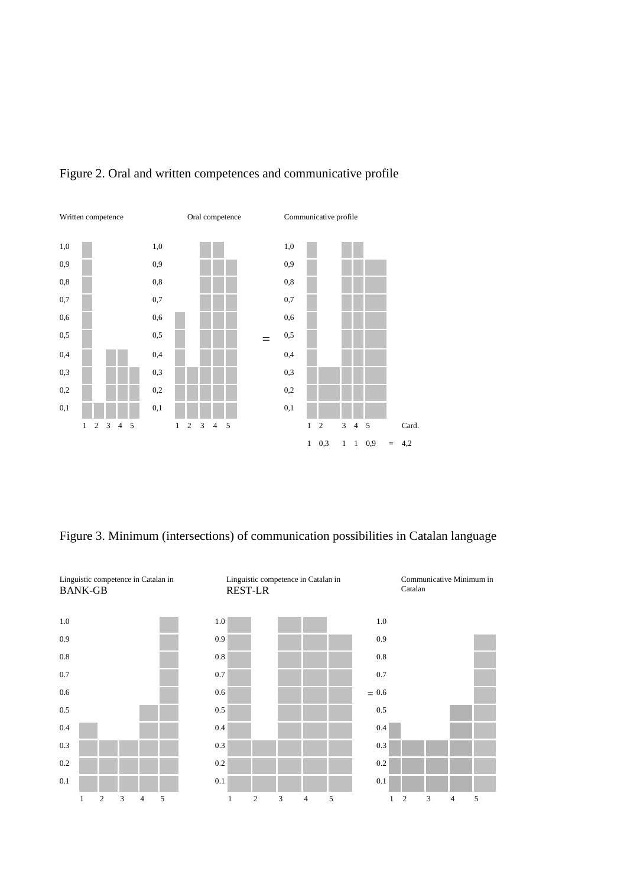

# Figure 2. Oral and written competences and communicative profile

Figure 3. Minimum (intersections) of communication possibilities in Catalan language

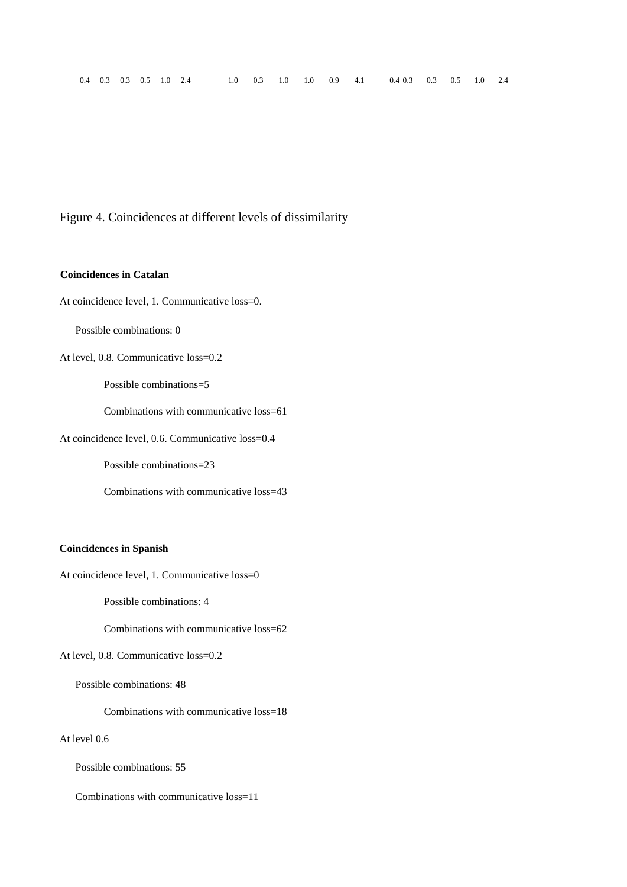Figure 4. Coincidences at different levels of dissimilarity

#### **Coincidences in Catalan**

At coincidence level, 1. Communicative loss=0.

Possible combinations: 0

At level, 0.8. Communicative loss=0.2

Possible combinations=5

Combinations with communicative loss=61

At coincidence level, 0.6. Communicative loss=0.4

Possible combinations=23

Combinations with communicative loss=43

#### **Coincidences in Spanish**

At coincidence level, 1. Communicative loss=0

Possible combinations: 4

Combinations with communicative loss=62

At level, 0.8. Communicative loss=0.2

Possible combinations: 48

Combinations with communicative loss=18

At level 0.6

Possible combinations: 55

Combinations with communicative loss=11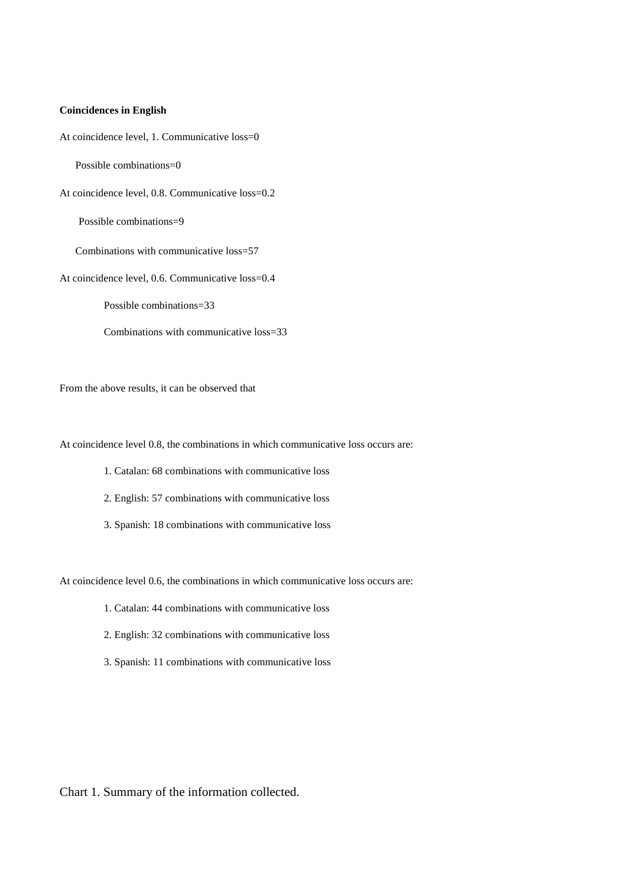#### **Coincidences in English**

At coincidence level, 1. Communicative loss=0

Possible combinations=0

At coincidence level, 0.8. Communicative loss=0.2

Possible combinations=9

Combinations with communicative loss=57

At coincidence level, 0.6. Communicative loss=0.4

Possible combinations=33

Combinations with communicative loss=33

From the above results, it can be observed that

At coincidence level 0.8, the combinations in which communicative loss occurs are:

- 1. Catalan: 68 combinations with communicative loss
- 2. English: 57 combinations with communicative loss
- 3. Spanish: 18 combinations with communicative loss

At coincidence level 0.6, the combinations in which communicative loss occurs are:

- 1. Catalan: 44 combinations with communicative loss
- 2. English: 32 combinations with communicative loss
- 3. Spanish: 11 combinations with communicative loss

Chart 1. Summary of the information collected.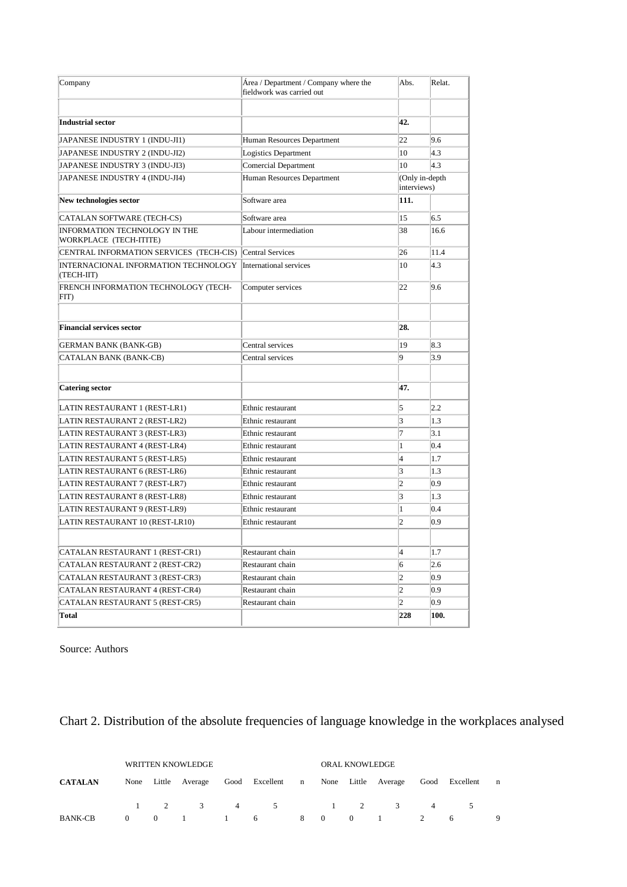| Company                                                 | Área / Department / Company where the<br>fieldwork was carried out | Abs.           | Relat.         |
|---------------------------------------------------------|--------------------------------------------------------------------|----------------|----------------|
|                                                         |                                                                    |                |                |
| <b>Industrial sector</b>                                |                                                                    | 42.            |                |
| JAPANESE INDUSTRY 1 (INDU-JI1)                          | Human Resources Department                                         | 22             | 9.6            |
| JAPANESE INDUSTRY 2 (INDU-JI2)                          | Logistics Department                                               | 10             | 4.3            |
| JAPANESE INDUSTRY 3 (INDU-JI3)                          | <b>Comercial Department</b>                                        | 10             | 4.3            |
| JAPANESE INDUSTRY 4 (INDU-JI4)                          | Human Resources Department                                         | interviews)    | (Only in-depth |
| New technologies sector                                 | Software area                                                      | 111.           |                |
| CATALAN SOFTWARE (TECH-CS)                              | Software area                                                      | 15             | 6.5            |
| INFORMATION TECHNOLOGY IN THE<br>WORKPLACE (TECH-ITITE) | Labour intermediation                                              | 38             | 16.6           |
| CENTRAL INFORMATION SERVICES (TECH-CIS)                 | <b>Central Services</b>                                            | 26             | 11.4           |
| INTERNACIONAL INFORMATION TECHNOLOGY<br>(TECH-IIT)      | International services                                             | 10             | 4.3            |
| FRENCH INFORMATION TECHNOLOGY (TECH-<br>FIT)            | Computer services                                                  | 22             | 9.6            |
| <b>Financial services sector</b>                        |                                                                    | 28.            |                |
| <b>GERMAN BANK (BANK-GB)</b>                            | Central services                                                   | 19             | 8.3            |
| CATALAN BANK (BANK-CB)                                  | Central services                                                   | 9              | 3.9            |
|                                                         |                                                                    |                |                |
| <b>Catering sector</b>                                  |                                                                    | 47.            |                |
| LATIN RESTAURANT 1 (REST-LR1)                           | Ethnic restaurant                                                  | 5              | 2.2            |
| LATIN RESTAURANT 2 (REST-LR2)                           | Ethnic restaurant                                                  | 3              | 1.3            |
| LATIN RESTAURANT 3 (REST-LR3)                           | Ethnic restaurant                                                  | $\overline{7}$ | 3.1            |
| LATIN RESTAURANT 4 (REST-LR4)                           | Ethnic restaurant                                                  | $\mathbf{1}$   | 0.4            |
| LATIN RESTAURANT 5 (REST-LR5)                           | Ethnic restaurant                                                  | $\overline{4}$ | 1.7            |
| LATIN RESTAURANT 6 (REST-LR6)                           | Ethnic restaurant                                                  | 3              | 1.3            |
| LATIN RESTAURANT 7 (REST-LR7)                           | Ethnic restaurant                                                  | $\overline{c}$ | 0.9            |
| LATIN RESTAURANT 8 (REST-LR8)                           | Ethnic restaurant                                                  | 3              | 1.3            |
| LATIN RESTAURANT 9 (REST-LR9)                           | Ethnic restaurant                                                  | $\mathbf{1}$   | 0.4            |
| LATIN RESTAURANT 10 (REST-LR10)                         | Ethnic restaurant                                                  | $\overline{c}$ | 0.9            |
|                                                         |                                                                    |                |                |
| CATALAN RESTAURANT 1 (REST-CR1)                         | Restaurant chain                                                   | $\overline{4}$ | 1.7            |
| CATALAN RESTAURANT 2 (REST-CR2)                         | Restaurant chain                                                   | 6              | 2.6            |
| CATALAN RESTAURANT 3 (REST-CR3)                         | Restaurant chain                                                   | $\overline{c}$ | 0.9            |
| CATALAN RESTAURANT 4 (REST-CR4)                         | Restaurant chain                                                   | $\overline{c}$ | 0.9            |
| CATALAN RESTAURANT 5 (REST-CR5)                         | Restaurant chain                                                   | $\overline{c}$ | 0.9            |
| <b>Total</b>                                            |                                                                    | 228            | 100.           |

Source: Authors

Chart 2. Distribution of the absolute frequencies of language knowledge in the workplaces analysed

|                | WRITTEN KNOWLEDGE |                |  |  |                                                                           |  |  | <b>ORAL KNOWLEDGE</b> |              |   |   |   |  |  |
|----------------|-------------------|----------------|--|--|---------------------------------------------------------------------------|--|--|-----------------------|--------------|---|---|---|--|--|
| <b>CATALAN</b> |                   |                |  |  | None Little Average Good Excellent n None Little Average Good Excellent n |  |  |                       |              |   |   |   |  |  |
|                |                   |                |  |  | $1 \t2 \t3 \t4 \t5 \t1 \t2 \t3$                                           |  |  |                       |              | 4 |   |   |  |  |
| BANK-CB        | $\Omega$          | $\overline{0}$ |  |  | 1 1 6 8 0                                                                 |  |  |                       | $0 \qquad 1$ | 2 | 6 | 9 |  |  |